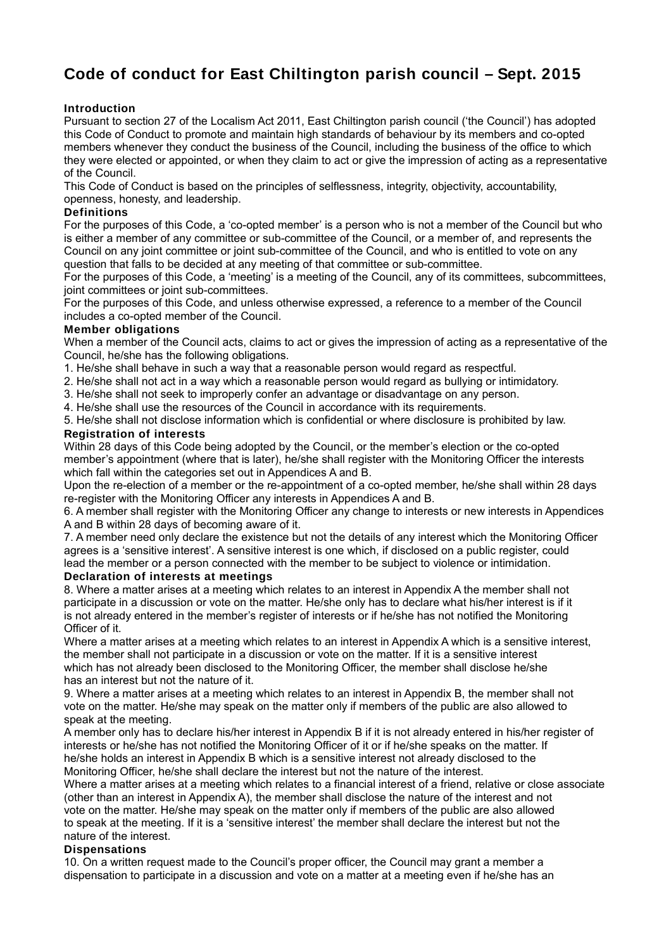# **Code of conduct for East Chiltington parish council – Sept. 2015**

## **Introduction**

Pursuant to section 27 of the Localism Act 2011, East Chiltington parish council ('the Council') has adopted this Code of Conduct to promote and maintain high standards of behaviour by its members and co-opted members whenever they conduct the business of the Council, including the business of the office to which they were elected or appointed, or when they claim to act or give the impression of acting as a representative of the Council.

This Code of Conduct is based on the principles of selflessness, integrity, objectivity, accountability, openness, honesty, and leadership.

## **Definitions**

For the purposes of this Code, a 'co-opted member' is a person who is not a member of the Council but who is either a member of any committee or sub-committee of the Council, or a member of, and represents the Council on any joint committee or joint sub-committee of the Council, and who is entitled to vote on any question that falls to be decided at any meeting of that committee or sub-committee.

For the purposes of this Code, a 'meeting' is a meeting of the Council, any of its committees, subcommittees, joint committees or joint sub-committees.

For the purposes of this Code, and unless otherwise expressed, a reference to a member of the Council includes a co-opted member of the Council.

## **Member obligations**

When a member of the Council acts, claims to act or gives the impression of acting as a representative of the Council, he/she has the following obligations.

- 1. He/she shall behave in such a way that a reasonable person would regard as respectful.
- 2. He/she shall not act in a way which a reasonable person would regard as bullying or intimidatory.
- 3. He/she shall not seek to improperly confer an advantage or disadvantage on any person.
- 4. He/she shall use the resources of the Council in accordance with its requirements.

5. He/she shall not disclose information which is confidential or where disclosure is prohibited by law.

### **Registration of interests**

Within 28 days of this Code being adopted by the Council, or the member's election or the co-opted member's appointment (where that is later), he/she shall register with the Monitoring Officer the interests which fall within the categories set out in Appendices A and B.

Upon the re-election of a member or the re-appointment of a co-opted member, he/she shall within 28 days re-register with the Monitoring Officer any interests in Appendices A and B.

6. A member shall register with the Monitoring Officer any change to interests or new interests in Appendices A and B within 28 days of becoming aware of it.

7. A member need only declare the existence but not the details of any interest which the Monitoring Officer agrees is a 'sensitive interest'. A sensitive interest is one which, if disclosed on a public register, could lead the member or a person connected with the member to be subject to violence or intimidation. **Declaration of interests at meetings**

8. Where a matter arises at a meeting which relates to an interest in Appendix A the member shall not participate in a discussion or vote on the matter. He/she only has to declare what his/her interest is if it is not already entered in the member's register of interests or if he/she has not notified the Monitoring Officer of it.

Where a matter arises at a meeting which relates to an interest in Appendix A which is a sensitive interest, the member shall not participate in a discussion or vote on the matter. If it is a sensitive interest which has not already been disclosed to the Monitoring Officer, the member shall disclose he/she has an interest but not the nature of it.

9. Where a matter arises at a meeting which relates to an interest in Appendix B, the member shall not vote on the matter. He/she may speak on the matter only if members of the public are also allowed to speak at the meeting.

A member only has to declare his/her interest in Appendix B if it is not already entered in his/her register of interests or he/she has not notified the Monitoring Officer of it or if he/she speaks on the matter. If he/she holds an interest in Appendix B which is a sensitive interest not already disclosed to the Monitoring Officer, he/she shall declare the interest but not the nature of the interest.

Where a matter arises at a meeting which relates to a financial interest of a friend, relative or close associate (other than an interest in Appendix A), the member shall disclose the nature of the interest and not vote on the matter. He/she may speak on the matter only if members of the public are also allowed to speak at the meeting. If it is a 'sensitive interest' the member shall declare the interest but not the nature of the interest.

### **Dispensations**

10. On a written request made to the Council's proper officer, the Council may grant a member a dispensation to participate in a discussion and vote on a matter at a meeting even if he/she has an